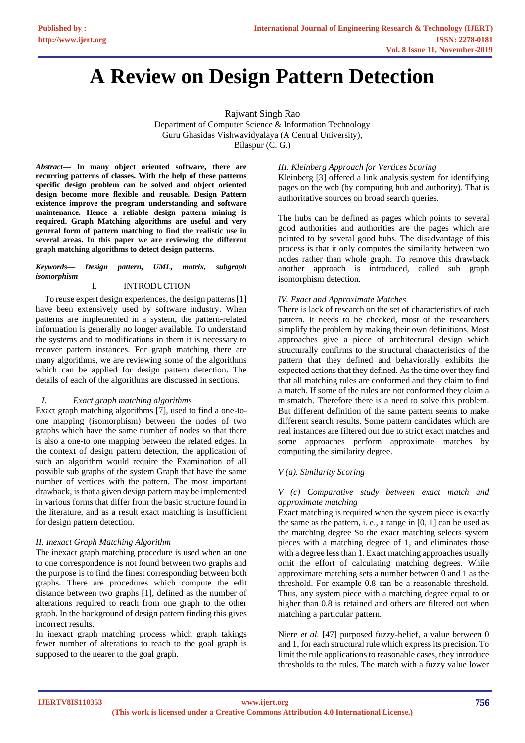# **A Review on Design Pattern Detection**

Rajwant Singh Rao Department of Computer Science & Information Technology Guru Ghasidas Vishwavidyalaya (A Central University), Bilaspur (C. G.)

*Abstract***— In many object oriented software, there are recurring patterns of classes. With the help of these patterns specific design problem can be solved and object oriented design become more flexible and reusable. Design Pattern existence improve the program understanding and software maintenance. Hence a reliable design pattern mining is required. Graph Matching algorithms are useful and very general form of pattern matching to find the realistic use in several areas. In this paper we are reviewing the different graph matching algorithms to detect design patterns.** 

## *Keywords— Design pattern, UML, matrix, subgraph isomorphism*

# I. INTRODUCTION

 To reuse expert design experiences, the design patterns [1] have been extensively used by software industry. When patterns are implemented in a system, the pattern-related information is generally no longer available. To understand the systems and to modifications in them it is necessary to recover pattern instances. For graph matching there are many algorithms, we are reviewing some of the algorithms which can be applied for design pattern detection. The details of each of the algorithms are discussed in sections.

# *I. Exact graph matching algorithms*

Exact graph matching algorithms [7], used to find a one-toone mapping (isomorphism) between the nodes of two graphs which have the same number of nodes so that there is also a one-to one mapping between the related edges. In the context of design pattern detection, the application of such an algorithm would require the Examination of all possible sub graphs of the system Graph that have the same number of vertices with the pattern. The most important drawback, is that a given design pattern may be implemented in various forms that differ from the basic structure found in the literature, and as a result exact matching is insufficient for design pattern detection.

# *II. Inexact Graph Matching Algorithm*

The inexact graph matching procedure is used when an one to one correspondence is not found between two graphs and the purpose is to find the finest corresponding between both graphs. There are procedures which compute the edit distance between two graphs [1], defined as the number of alterations required to reach from one graph to the other graph. In the background of design pattern finding this gives incorrect results.

In inexact graph matching process which graph takings fewer number of alterations to reach to the goal graph is supposed to the nearer to the goal graph.

# *III. Kleinberg Approach for Vertices Scoring*

Kleinberg [3] offered a link analysis system for identifying pages on the web (by computing hub and authority). That is authoritative sources on broad search queries.

The hubs can be defined as pages which points to several good authorities and authorities are the pages which are pointed to by several good hubs. The disadvantage of this process is that it only computes the similarity between two nodes rather than whole graph. To remove this drawback another approach is introduced, called sub graph isomorphism detection.

# *IV. Exact and Approximate Matches*

There is lack of research on the set of characteristics of each pattern. It needs to be checked, most of the researchers simplify the problem by making their own definitions. Most approaches give a piece of architectural design which structurally confirms to the structural characteristics of the pattern that they defined and behaviorally exhibits the expected actions that they defined. As the time over they find that all matching rules are conformed and they claim to find a match. If some of the rules are not conformed they claim a mismatch. Therefore there is a need to solve this problem. But different definition of the same pattern seems to make different search results. Some pattern candidates which are real instances are filtered out due to strict exact matches and some approaches perform approximate matches by computing the similarity degree.

# *V (a). Similarity Scoring*

## *V (c) Comparative study between exact match and approximate matching*

Exact matching is required when the system piece is exactly the same as the pattern, i. e., a range in [0, 1] can be used as the matching degree So the exact matching selects system pieces with a matching degree of 1, and eliminates those with a degree less than 1. Exact matching approaches usually omit the effort of calculating matching degrees. While approximate matching sets a number between 0 and 1 as the threshold. For example 0.8 can be a reasonable threshold. Thus, any system piece with a matching degree equal to or higher than 0.8 is retained and others are filtered out when matching a particular pattern.

Niere *et al.* [47] purposed fuzzy-belief, a value between 0 and 1, for each structural rule which express its precision. To limit the rule applications to reasonable cases, they introduce thresholds to the rules. The match with a fuzzy value lower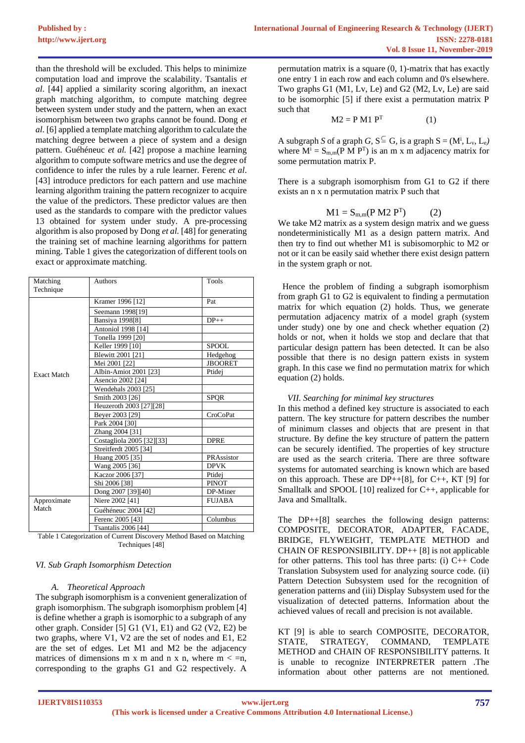than the threshold will be excluded. This helps to minimize computation load and improve the scalability. Tsantalis *et al*. [44] applied a similarity scoring algorithm, an inexact graph matching algorithm, to compute matching degree between system under study and the pattern, when an exact isomorphism between two graphs cannot be found. Dong *et al*. [6] applied a template matching algorithm to calculate the matching degree between a piece of system and a design pattern. Guéhéneuc *et al.* [42] propose a machine learning algorithm to compute software metrics and use the degree of confidence to infer the rules by a rule learner. Ferenc *et al*. [43] introduce predictors for each pattern and use machine learning algorithm training the pattern recognizer to acquire the value of the predictors. These predictor values are then used as the standards to compare with the predictor values 13 obtained for system under study. A pre-processing algorithm is also proposed by Dong *et al.* [48] for generating the training set of machine learning algorithms for pattern mining. Table 1 gives the categorization of different tools on exact or approximate matching.

| Matching           | Authors                    | Tools          |  |  |  |
|--------------------|----------------------------|----------------|--|--|--|
| Technique          |                            |                |  |  |  |
|                    | Kramer 1996 [12]           | Pat            |  |  |  |
|                    | Seemann 1998[19]           |                |  |  |  |
|                    | Bansiya 1998[8]            | $DP_{++}$      |  |  |  |
|                    | Antoniol 1998 [14]         |                |  |  |  |
|                    | Tonella 1999 [20]          |                |  |  |  |
|                    | Keller 1999 [10]           | <b>SPOOL</b>   |  |  |  |
|                    | Blewitt 2001 [21]          | Hedgehog       |  |  |  |
|                    | Mei 2001 [22]              | <b>JBOORET</b> |  |  |  |
| <b>Exact Match</b> | Albin-Amiot 2001 [23]      | Ptidej         |  |  |  |
|                    | Asencio 2002 [24]          |                |  |  |  |
|                    | Wendehals 2003 [25]        |                |  |  |  |
|                    | Smith 2003 [26]            | <b>SPOR</b>    |  |  |  |
|                    | Heuzeroth 2003 [27][28]    |                |  |  |  |
|                    | Beyer 2003 [29]            | CroCoPat       |  |  |  |
|                    | Park 2004 [30]             |                |  |  |  |
|                    | Zhang 2004 [31]            |                |  |  |  |
|                    | Costagliola 2005 [32][33]  | <b>DPRE</b>    |  |  |  |
|                    | Streitferdt 2005 [34]      |                |  |  |  |
|                    | Huang 2005 [35]            | PRAssistor     |  |  |  |
|                    | Wang 2005 [36]             | <b>DPVK</b>    |  |  |  |
|                    | Kaczor 2006 [37]           | Ptidej         |  |  |  |
|                    | Shi 2006 [38]              | <b>PINOT</b>   |  |  |  |
|                    | Dong 2007 [39][40]         | DP-Miner       |  |  |  |
| Approximate        | Niere 2002 [41]            | <b>FUJABA</b>  |  |  |  |
| Match              | Guéhéneuc 2004 [42]        |                |  |  |  |
|                    | Ferenc 2005 [43]           | Columbus       |  |  |  |
|                    | <b>Tsantalis 2006 [44]</b> |                |  |  |  |

Table 1 Categorization of Current Discovery Method Based on Matching Techniques [48]

# *VI. Sub Graph Isomorphism Detection*

#### *A. Theoretical Approach*

The subgraph isomorphism is a convenient generalization of graph isomorphism. The subgraph isomorphism problem [4] is define whether a graph is isomorphic to a subgraph of any other graph. Consider [5] G1 (V1, E1) and G2 (V2, E2) be two graphs, where V1, V2 are the set of nodes and E1, E2 are the set of edges. Let M1 and M2 be the adjacency matrices of dimensions m x m and n x n, where  $m < n$ , corresponding to the graphs G1 and G2 respectively. A

permutation matrix is a square (0, 1)-matrix that has exactly one entry 1 in each row and each column and 0's elsewhere. Two graphs G1 (M1, Lv, Le) and G2 (M2, Lv, Le) are said to be isomorphic [5] if there exist a permutation matrix P such that

$$
M2 = P M1 PT
$$
 (1)

A subgraph *S* of a graph *G*,  $S^{\subseteq}$  *G*, is a graph  $S = (M^i, L_v, L_e)$ where  $M^i = S_{m,m}(P \text{ M } P^T)$  is an m x m adjacency matrix for some permutation matrix P.

There is a subgraph isomorphism from G1 to G2 if there exists an n x n permutation matrix P such that

$$
M1 = S_{m,m}(P M2 PT)
$$
 (2)

We take M2 matrix as a system design matrix and we guess nondeterministically M1 as a design pattern matrix. And then try to find out whether M1 is subisomorphic to M2 or not or it can be easily said whether there exist design pattern in the system graph or not.

 Hence the problem of finding a subgraph isomorphism from graph G1 to G2 is equivalent to finding a permutation matrix for which equation (2) holds. Thus, we generate permutation adjacency matrix of a model graph (system under study) one by one and check whether equation (2) holds or not, when it holds we stop and declare that that particular design pattern has been detected. It can be also possible that there is no design pattern exists in system graph. In this case we find no permutation matrix for which equation (2) holds.

#### *VII. Searching for minimal key structures*

In this method a defined key structure is associated to each pattern. The key structure for pattern describes the number of minimum classes and objects that are present in that structure. By define the key structure of pattern the pattern can be securely identified. The properties of key structure are used as the search criteria. There are three software systems for automated searching is known which are based on this approach. These are  $DP++[8]$ , for  $C++$ , KT [9] for Smalltalk and SPOOL [10] realized for C++, applicable for Java and Smalltalk.

The DP++[8] searches the following design patterns: COMPOSITE, DECORATOR, ADAPTER, FACADE, BRIDGE, FLYWEIGHT, TEMPLATE METHOD and CHAIN OF RESPONSIBILITY. DP++ [8] is not applicable for other patterns. This tool has three parts: (i) C++ Code Translation Subsystem used for analyzing source code. (ii) Pattern Detection Subsystem used for the recognition of generation patterns and (iii) Display Subsystem used for the visualization of detected patterns. Information about the achieved values of recall and precision is not available.

KT [9] is able to search COMPOSITE, DECORATOR, STATE, STRATEGY, COMMAND, TEMPLATE METHOD and CHAIN OF RESPONSIBILITY patterns. It is unable to recognize INTERPRETER pattern .The information about other patterns are not mentioned.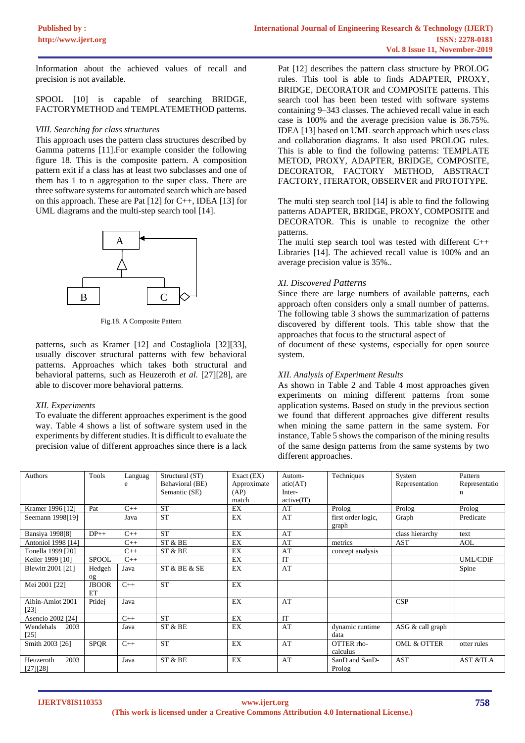Information about the achieved values of recall and precision is not available.

SPOOL [10] is capable of searching BRIDGE, FACTORYMETHOD and TEMPLATEMETHOD patterns.

## *VIII. Searching for class structures*

This approach uses the pattern class structures described by Gamma patterns [11].For example consider the following figure 18. This is the composite pattern. A composition pattern exit if a class has at least two subclasses and one of them has 1 to n aggregation to the super class. There are three software systems for automated search which are based on this approach. These are Pat [12] for C++, IDEA [13] for UML diagrams and the multi-step search tool [14].



Fig.18. A Composite Pattern

patterns, such as Kramer [12] and Costagliola [32][33], usually discover structural patterns with few behavioral patterns. Approaches which takes both structural and behavioral patterns, such as Heuzeroth *et al.* [27][28], are able to discover more behavioral patterns.

# *XII. Experiments*

To evaluate the different approaches experiment is the good way. Table 4 shows a list of software system used in the experiments by different studies. It is difficult to evaluate the precision value of different approaches since there is a lack

Pat [12] describes the pattern class structure by PROLOG rules. This tool is able to finds ADAPTER, PROXY, BRIDGE, DECORATOR and COMPOSITE patterns. This search tool has been been tested with software systems containing 9–343 classes. The achieved recall value in each case is 100% and the average precision value is 36.75%. IDEA [13] based on UML search approach which uses class and collaboration diagrams. It also used PROLOG rules. This is able to find the following patterns: TEMPLATE METOD, PROXY, ADAPTER, BRIDGE, COMPOSITE, DECORATOR, FACTORY METHOD, ABSTRACT FACTORY, ITERATOR, OBSERVER and PROTOTYPE.

The multi step search tool [14] is able to find the following patterns ADAPTER, BRIDGE, PROXY, COMPOSITE and DECORATOR. This is unable to recognize the other patterns.

The multi step search tool was tested with different C++ Libraries [14]. The achieved recall value is 100% and an average precision value is 35%..

# *XI. Discovered Patterns*

Since there are large numbers of available patterns, each approach often considers only a small number of patterns. The following table 3 shows the summarization of patterns discovered by different tools. This table show that the approaches that focus to the structural aspect of

of document of these systems, especially for open source system.

# *XII. Analysis of Experiment Results*

As shown in Table 2 and Table 4 most approaches given experiments on mining different patterns from some application systems. Based on study in the previous section we found that different approaches give different results when mining the same pattern in the same system. For instance, Table 5 shows the comparison of the mining results of the same design patterns from the same systems by two different approaches.

| Authors                | Tools        | Languag | Structural (ST) | Exact $(EX)$ | Autom-    | Techniques         | System                 | Pattern             |
|------------------------|--------------|---------|-----------------|--------------|-----------|--------------------|------------------------|---------------------|
|                        |              | e       | Behavioral (BE) | Approximate  | atic(AT)  |                    | Representation         | Representatio       |
|                        |              |         | Semantic (SE)   | (AP)         | Inter-    |                    |                        | n                   |
|                        |              |         |                 | match        | active(T) |                    |                        |                     |
| Kramer 1996 [12]       | Pat          | $C++$   | <b>ST</b>       | EX           | AT        | Prolog             | Prolog                 | Prolog              |
| Seemann 1998[19]       |              | Java    | <b>ST</b>       | EX           | AT        | first order logic, | Graph                  | Predicate           |
|                        |              |         |                 |              |           | graph              |                        |                     |
| <b>Bansiya 1998[8]</b> | $DP++$       | $C++$   | <b>ST</b>       | EX           | AT        |                    | class hierarchy        | text                |
| Antoniol 1998 [14]     |              | $C++$   | ST & BE         | EX           | AT        | metrics            | AST                    | AOL                 |
| Tonella 1999 [20]      |              | $C++$   | ST & BE         | EX           | AT        | concept analysis   |                        |                     |
| Keller 1999 [10]       | <b>SPOOL</b> | $C++$   |                 | EX           | <b>IT</b> |                    |                        | <b>UML/CDIF</b>     |
| Blewitt 2001 [21]      | Hedgeh       | Java    | ST & BE & SE    | EX           | AT        |                    |                        | Spine               |
|                        | og           |         |                 |              |           |                    |                        |                     |
| Mei 2001 [22]          | <b>JBOOR</b> | $C++$   | <b>ST</b>       | EX           |           |                    |                        |                     |
|                        | ET           |         |                 |              |           |                    |                        |                     |
| Albin-Amiot 2001       | Ptidej       | Java    |                 | EX           | AT        |                    | CSP                    |                     |
| [23]                   |              |         |                 |              |           |                    |                        |                     |
| Asencio 2002 [24]      |              | $C++$   | <b>ST</b>       | EX           | IT        |                    |                        |                     |
| Wendehals<br>2003      |              | Java    | ST & BE         | EX           | AT        | dynamic runtime    | ASG & call graph       |                     |
| [25]                   |              |         |                 |              |           | data               |                        |                     |
| Smith 2003 [26]        | <b>SPQR</b>  | $C++$   | <b>ST</b>       | EX           | AT        | OTTER rho-         | <b>OML &amp; OTTER</b> | otter rules         |
|                        |              |         |                 |              |           | calculus           |                        |                     |
| 2003<br>Heuzeroth      |              | Java    | ST & BE         | EX           | AT        | SanD and SanD-     | <b>AST</b>             | <b>AST &amp;TLA</b> |
| [27][28]               |              |         |                 |              |           | Prolog             |                        |                     |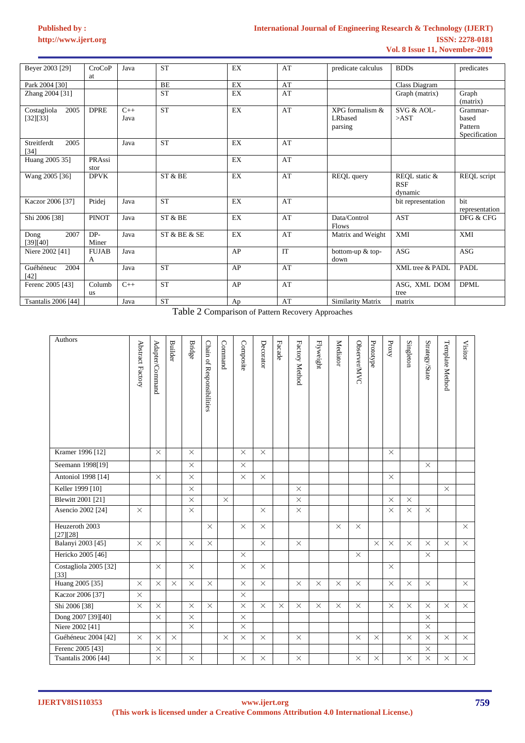| Beyer 2003 [29]                 | <b>CroCoP</b><br>at | Java          | <b>ST</b>    | EX | AT        | predicate calculus                            | <b>BDDs</b>                            | predicates                                    |
|---------------------------------|---------------------|---------------|--------------|----|-----------|-----------------------------------------------|----------------------------------------|-----------------------------------------------|
| Park 2004 [30]                  |                     |               | BE           | EX | AT        |                                               | Class Diagram                          |                                               |
| Zhang 2004 [31]                 |                     |               | <b>ST</b>    | EX | AT        |                                               | Graph (matrix)                         | Graph<br>(matrix)                             |
| 2005<br>Costagliola<br>[32][33] | <b>DPRE</b>         | $C++$<br>Java | <b>ST</b>    | EX | AT        | XPG formalism &<br><b>LR</b> based<br>parsing | SVG & AOL-<br>>AST                     | Grammar-<br>based<br>Pattern<br>Specification |
| 2005<br>Streitferdt<br>$[34]$   |                     | Java          | <b>ST</b>    | EX | AT        |                                               |                                        |                                               |
| Huang 2005 35]                  | PRAssi<br>stor      |               |              | EX | AT        |                                               |                                        |                                               |
| Wang 2005 [36]                  | <b>DPVK</b>         |               | ST & BE      | EX | AT        | REQL query                                    | REQL static &<br><b>RSF</b><br>dynamic | REQL script                                   |
| Kaczor 2006 [37]                | Ptidej              | Java          | <b>ST</b>    | EX | AT        |                                               | bit representation                     | hit<br>representation                         |
| Shi 2006 [38]                   | <b>PINOT</b>        | Java          | $ST\ \&\ BE$ | EX | AT        | Data/Control<br><b>Flows</b>                  | <b>AST</b>                             | DFG & CFG                                     |
| 2007<br>Dong<br>[39][40]        | DP-<br>Miner        | Java          | ST & BE & SE | EX | AT        | Matrix and Weight                             | XMI                                    | XMI                                           |
| Niere 2002 [41]                 | <b>FUJAB</b><br>А   | Java          |              | AP | <b>IT</b> | bottom-up & top-<br>down                      | <b>ASG</b>                             | <b>ASG</b>                                    |
| Guéhéneuc<br>2004<br>$[42]$     |                     | Java          | <b>ST</b>    | AP | AT        |                                               | XML tree & PADL                        | PADL                                          |
| Ferenc 2005 [43]                | Columb<br><b>us</b> | $C++$         | <b>ST</b>    | AP | AT        |                                               | ASG, XML DOM<br>tree                   | <b>DPML</b>                                   |
| <b>Tsantalis 2006 [44]</b>      |                     | Java          | <b>ST</b>    | Ap | AT        | Similarity Matrix                             | matrix                                 |                                               |

Table 2 Comparison of Pattern Recovery Approaches

| Authors                         | Abstract Factory | Adapter/Command | <b>Builder</b> | <b>Bridge</b> | Chain of Responsibilities | Command  | Composite | Decorator | Facade   | Factory Method | <b>Flyweight</b> | Mediator | Observer/MVC | Prototype | Proxy    | Singleton | Strategy/State | Template Method | <b>Visitor</b> |
|---------------------------------|------------------|-----------------|----------------|---------------|---------------------------|----------|-----------|-----------|----------|----------------|------------------|----------|--------------|-----------|----------|-----------|----------------|-----------------|----------------|
| Kramer 1996 [12]                |                  | $\times$        |                | $\times$      |                           |          | $\times$  | $\times$  |          |                |                  |          |              |           | $\times$ |           |                |                 |                |
| Seemann 1998[19]                |                  |                 |                | $\times$      |                           |          | $\times$  |           |          |                |                  |          |              |           |          |           | $\times$       |                 |                |
| Antoniol 1998 [14]              |                  | $\times$        |                | $\times$      |                           |          | $\times$  | $\times$  |          |                |                  |          |              |           | $\times$ |           |                |                 |                |
| Keller 1999 [10]                |                  |                 |                | $\times$      |                           |          |           |           |          | $\times$       |                  |          |              |           |          |           |                | $\times$        |                |
| Blewitt 2001 [21]               |                  |                 |                | $\times$      |                           | $\times$ |           |           |          | $\times$       |                  |          |              |           | $\times$ | $\times$  |                |                 |                |
| Asencio 2002 [24]               | $\times$         |                 |                | $\times$      |                           |          |           | $\times$  |          | $\times$       |                  |          |              |           | $\times$ | $\times$  | $\times$       |                 |                |
| Heuzeroth 2003<br>[27][28]      |                  |                 |                |               | $\times$                  |          | $\times$  | $\times$  |          |                |                  | $\times$ | $\times$     |           |          |           |                |                 | $\times$       |
| Balanyi 2003 [45]               | $\times$         | $\times$        |                | $\times$      | $\times$                  |          |           | $\times$  |          | $\times$       |                  |          |              | $\times$  | $\times$ | $\times$  | $\times$       | $\times$        | $\times$       |
| Hericko 2005 [46]               |                  |                 |                |               |                           |          | $\times$  |           |          |                |                  |          | $\times$     |           |          |           | $\times$       |                 |                |
| Costagliola 2005 [32]<br>$[33]$ |                  | $\times$        |                | $\times$      |                           |          | $\times$  | $\times$  |          |                |                  |          |              |           | $\times$ |           |                |                 |                |
| Huang 2005 [35]                 | $\times$         | $\times$        | $\times$       | $\times$      | $\times$                  |          | $\times$  | $\times$  |          | $\times$       | $\times$         | $\times$ | $\times$     |           | $\times$ | $\times$  | $\times$       |                 | $\times$       |
| Kaczor 2006 <sup>[37]</sup>     | $\times$         |                 |                |               |                           |          | $\times$  |           |          |                |                  |          |              |           |          |           |                |                 |                |
| Shi 2006 [38]                   | $\times$         | $\times$        |                | $\times$      | $\times$                  |          | $\times$  | $\times$  | $\times$ | $\times$       | $\times$         | $\times$ | $\times$     |           | $\times$ | $\times$  | $\times$       | $\times$        | $\times$       |
| Dong 2007 [39][40]              |                  | $\times$        |                | $\times$      |                           |          | $\times$  |           |          |                |                  |          |              |           |          |           | $\times$       |                 |                |
| Niere 2002 [41]                 |                  |                 |                | $\times$      |                           |          | $\times$  |           |          |                |                  |          |              |           |          |           | $\times$       |                 |                |
| Guéhéneuc 2004 [42]             | $\times$         | $\times$        | $\times$       |               |                           | $\times$ | $\times$  | $\times$  |          | $\times$       |                  |          | $\times$     | $\times$  |          | $\times$  | $\times$       | $\times$        | $\times$       |
| Ferenc 2005 [43]                |                  | $\times$        |                |               |                           |          |           |           |          |                |                  |          |              |           |          |           | $\times$       |                 |                |
| <b>Tsantalis 2006</b> [44]      |                  | $\times$        |                | $\times$      |                           |          | $\times$  | $\times$  |          | $\times$       |                  |          | $\times$     | $\times$  |          | $\times$  | $\times$       | $\times$        | $\times$       |

**IJERTV8IS110353**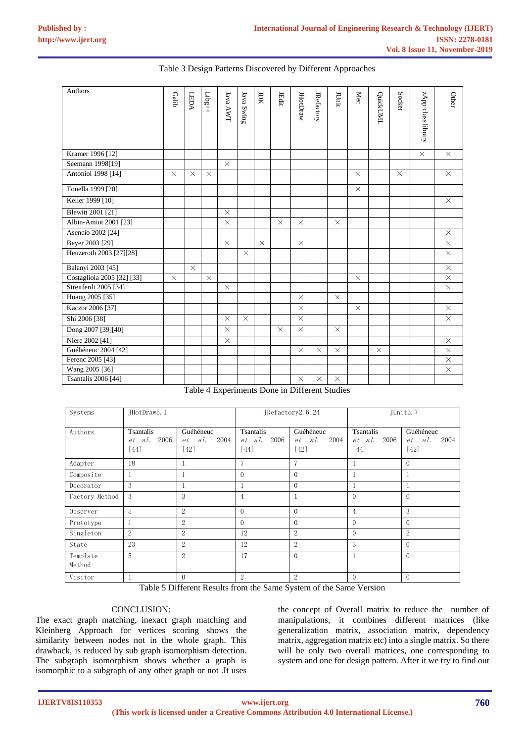| <b>Authors</b>             | Galib    | LEDA     | ${\sf Libg++}$ | Java AWT | Java Swing | JDK          | JEdit    | <b>JHotDraw</b>                                    | <b>JRefactory</b>         | JUmit               | ${\rm Mec}$ | QuickUML | Socket   | zApp class library | Other    |
|----------------------------|----------|----------|----------------|----------|------------|--------------|----------|----------------------------------------------------|---------------------------|---------------------|-------------|----------|----------|--------------------|----------|
| Kramer 1996 [12]           |          |          |                |          |            |              |          |                                                    |                           |                     |             |          |          | $\times$           | $\times$ |
| Seemann 1998[19]           |          |          |                | $\times$ |            |              |          |                                                    |                           |                     |             |          |          |                    |          |
| Antoniol 1998 [14]         | $\times$ | $\times$ | $\times$       |          |            |              |          |                                                    |                           |                     | $\times$    |          | $\times$ |                    | $\times$ |
| Tonella 1999 [20]          |          |          |                |          |            |              |          |                                                    |                           |                     | $\times$    |          |          |                    |          |
| Keller 1999 [10]           |          |          |                |          |            |              |          |                                                    |                           |                     |             |          |          |                    | $\times$ |
| Blewitt 2001 [21]          |          |          |                | $\times$ |            |              |          |                                                    |                           |                     |             |          |          |                    |          |
| Albin-Amiot 2001 [23]      |          |          |                | $\times$ |            |              | $\times$ | $\times$                                           |                           | $\times$            |             |          |          |                    |          |
| Asencio 2002 [24]          |          |          |                |          |            |              |          |                                                    |                           |                     |             |          |          |                    | $\times$ |
| Beyer 2003 [29]            |          |          |                | $\times$ |            | $\times$     |          | $\times$                                           |                           |                     |             |          |          |                    | $\times$ |
| Heuzeroth 2003 [27][28]    |          |          |                |          | $\times$   |              |          |                                                    |                           |                     |             |          |          |                    | $\times$ |
| Balanyi 2003 [45]          |          | $\times$ |                |          |            |              |          |                                                    |                           |                     |             |          |          |                    | $\times$ |
| Costagliola 2005 [32] [33] | $\times$ |          | $\times$       |          |            |              |          |                                                    |                           |                     | $\times$    |          |          |                    | $\times$ |
| Streitferdt 2005 [34]      |          |          |                | $\times$ |            |              |          |                                                    |                           |                     |             |          |          |                    | $\times$ |
| Huang 2005 [35]            |          |          |                |          |            |              |          | $\times$                                           |                           | $\times$            |             |          |          |                    |          |
| Kaczor 2006 [37]           |          |          |                |          |            |              |          | $\times$                                           |                           |                     | $\times$    |          |          |                    | $\times$ |
| Shi 2006 [38]              |          |          |                | $\times$ | $\times$   |              |          | $\times$                                           |                           |                     |             |          |          |                    | $\times$ |
| Dong 2007 [39][40]         |          |          |                | $\times$ |            |              | $\times$ | $\times$                                           |                           | $\times$            |             |          |          |                    |          |
| Niere 2002 [41]            |          |          |                | $\times$ |            |              |          |                                                    |                           |                     |             |          |          |                    | $\times$ |
| Guéhéneuc 2004 [42]        |          |          |                |          |            |              |          | $\times$                                           | $\times$                  | $\times$            |             | $\times$ |          |                    | $\times$ |
| Ferenc 2005 [43]           |          |          |                |          |            |              |          |                                                    |                           |                     |             |          |          |                    | $\times$ |
| Wang 2005 [36]             |          |          |                |          |            |              |          |                                                    |                           |                     |             |          |          |                    | $\times$ |
| <b>Tsantalis 2006</b> [44] |          |          | 77.11.17       | $\sim$   |            | $\mathbf{r}$ |          | $\times$<br>$\cdot$ $\sim$ $\cdot$ $\circ$ $\circ$ | $\times$<br>$\sim$ $\sim$ | $\times$<br>$\cdot$ |             |          |          |                    |          |

## Table 3 Design Patterns Discovered by Different Approaches

Table 4 Experiments Done in Different Studies

| Systems            | JHotDraw5.1                                      |                                             |                                     | JRefactory2.6.24                       | JUnit3.7                            |                                        |  |  |
|--------------------|--------------------------------------------------|---------------------------------------------|-------------------------------------|----------------------------------------|-------------------------------------|----------------------------------------|--|--|
| Authors            | Tsantalis<br>$et \textit{al.}$<br>2006<br>$[44]$ | Guéhéneuc<br>2004<br>$et \quad al.$<br>[42] | Tsantalis<br>2006<br>et al.<br>[44] | Guéhéneuc<br>2004<br>al.<br>et<br>[42] | Tsantalis<br>2006<br>et al.<br>[44] | Guéhéneuc<br>2004<br>al.<br>et<br>[42] |  |  |
| Adapter            | 18                                               |                                             | 7                                   | $\overline{7}$                         | 1                                   | $\overline{0}$                         |  |  |
| Composite          |                                                  |                                             | $\Omega$                            | $\Omega$                               |                                     |                                        |  |  |
| Decorator          | 3                                                |                                             | 1                                   | $\Omega$                               | 1                                   |                                        |  |  |
| Factory Method     | 3                                                | 3                                           | $\overline{4}$                      | $\mathbf{1}$                           | $\bigcirc$                          | $\Omega$                               |  |  |
| Observer           | 5                                                | $\overline{2}$                              | $\Omega$                            | $\Omega$                               | $\overline{4}$                      | 3                                      |  |  |
| Prototype          |                                                  | 2                                           | $\Omega$                            | $\Omega$                               | $\theta$                            | $\Omega$                               |  |  |
| Singleton          | $\mathbf{2}$                                     | 2                                           | 12                                  | $\overline{2}$                         | $\Omega$                            | $\mathbf{2}$                           |  |  |
| State              | 23                                               | $\overline{2}$                              | 12                                  | $\overline{2}$                         | 3                                   | $\Omega$                               |  |  |
| Template<br>Method | 5                                                | $\overline{2}$                              | 17                                  | $\bigcirc$                             | $\mathbf{1}$                        | $\Omega$                               |  |  |
| Visitor            |                                                  | $\overline{0}$                              | 2                                   | $\overline{2}$                         | $\theta$                            | $\overline{0}$                         |  |  |

Table 5 Different Results from the Same System of the Same Version

## CONCLUSION:

The exact graph matching, inexact graph matching and Kleinberg Approach for vertices scoring shows the similarity between nodes not in the whole graph. This drawback, is reduced by sub graph isomorphism detection. The subgraph isomorphism shows whether a graph is isomorphic to a subgraph of any other graph or not .It uses

the concept of Overall matrix to reduce the number of manipulations, it combines different matrices (like generalization matrix, association matrix, dependency matrix, aggregation matrix etc) into a single matrix. So there will be only two overall matrices, one corresponding to system and one for design pattern. After it we try to find out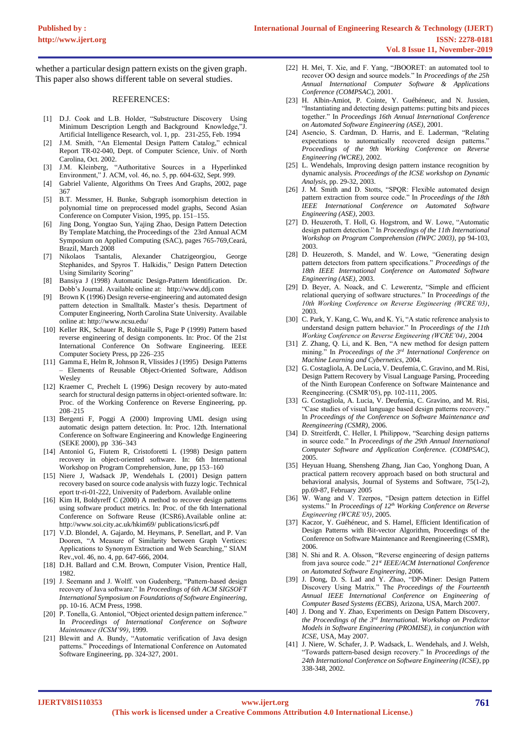whether a particular design pattern exists on the given graph. This paper also shows different table on several studies.

#### REFERENCES:

- [1] D.J. Cook and L.B. Holder, "Substructure Discovery Using Minimum Description Length and Background Knowledge,"J. Artificial Intelligence Research, vol. 1, pp. 231-255, Feb. 1994
- J.M. Smith, "An Elemental Design Pattern Catalog," echnical Report TR-02-040, Dept. of Computer Science, Univ. of North Carolina, Oct. 2002.
- [3] J.M. Kleinberg, "Authoritative Sources in a Hyperlinked Environment," J. ACM, vol. 46, no. 5, pp. 604-632, Sept. 999.
- [4] Gabriel Valiente, Algorithms On Trees And Graphs, 2002, page 367
- [5] B.T. Messmer, H. Bunke, Subgraph isomorphism detection in polynomial time on preprocessed model graphs, Second Asian Conference on Computer Vision, 1995, pp. 151–155.
- [6] Jing Dong, Yongtao Sun, Yajing Zhao, Design Pattern Detection By Template Matching, the Proceedings of the 23rd Annual ACM Symposium on Applied Computing (SAC), pages 765-769,Ceará, Brazil, March 2008
- [7] Nikolaos Tsantalis, Alexander Chatzigeorgiou, George Stephanides, and Spyros T. Halkidis," Design Pattern Detection Using Similarity Scoring"
- [8] Bansiya J (1998) Automatic Design-Pattern Identification. Dr. Dobb's Journal. Available online at: http://www.ddj.com
- [9] Brown K (1996) Design reverse-engineering and automated design pattern detection in Smalltalk. Master's thesis. Department of Computer Engineering, North Carolina State University. Available online at: http://www.ncsu.edu/
- [10] Keller RK, Schauer R, Robitaille S, Page P (1999) Pattern based reverse engineering of design components. In: Proc. Of the 21st International Conference On Software Engineering. IEEE Computer Society Press, pp 226–235
- [11] Gamma E, Helm R, Johnson R, Vlissides J (1995) Design Patterns – Elements of Reusable Object-Oriented Software, Addison Wesley
- [12] Kraemer C, Prechelt L (1996) Design recovery by auto-mated search for structural design patterns in object-oriented software. In: Proc. of the Working Conference on Reverse Engineering, pp. 208–215
- [13] Bergenti F, Poggi A (2000) Improving UML design using automatic design pattern detection. In: Proc. 12th. International Conference on Software Engineering and Knowledge Engineering (SEKE 2000), pp 336–343
- [14] Antoniol G, Fiutem R, Cristoforetti L (1998) Design pattern recovery in object-oriented software. In: 6th International Workshop on Program Comprehension, June, pp 153–160
- [15] Niere J, Wadsack JP, Wendehals L (2001) Design pattern recovery based on source code analysis with fuzzy logic. Technical eport tr-ri-01-222, University of Paderborn. Available online
- [16] Kim H, Boldyreff C (2000) A method to recover design patterns using software product metrics. In: Proc. of the 6th International Conference on Software Reuse (ICSR6).Available online at: http://www.soi.city.ac.uk/hkim69/ publications/icsr6.pdf
- [17] V.D. Blondel, A. Gajardo, M. Heymans, P. Senellart, and P. Van Dooren, "A Measure of Similarity between Graph Vertices: Applications to Synonym Extraction and Web Searching," SIAM Rev.,vol. 46, no. 4, pp. 647-666, 2004.
- [18] D.H. Ballard and C.M. Brown, Computer Vision, Prentice Hall, 1982.
- [19] J. Seemann and J. Wolff. von Gudenberg, "Pattern-based design recovery of Java software." In *Proceedings of 6th ACM SIGSOFT International Symposium on Foundations of Software Engineering*, pp. 10-16. ACM Press, 1998.
- [20] P. Tonella, G. Antoniol, "Object oriented design pattern inference." In *Proceedings of International Conference on Software Maintenance (ICSM'99)*, 1999.
- [21] Blewitt and A. Bundy, "Automatic verification of Java design patterns." Proceedings of International Conference on Automated Software Engineering, pp. 324-327, 2001.
- [22] H. Mei, T. Xie, and F. Yang, "JBOORET: an automated tool to recover OO design and source models." In *Proceedings of the 25h Annual International Computer Software & Applications Conference (COMPSAC),* 2001.
- [23] H. Albin-Amiot, P. Cointe, Y. Guéhéneuc, and N. Jussien, "Instantiating and detecting design patterns: putting bits and pieces together." In *Proceedings 16th Annual International Conference on Automated Software Engineering (ASE)*, 2001.
- [24] Asencio, S. Cardman, D. Harris, and E. Laderman, "Relating expectations to automatically recovered design patterns." *Proceedings of the 9th Working Conference on Reverse Engineering (WCRE)*, 2002.
- [25] L. Wendehals, Improving design pattern instance recognition by dynamic analysis. *Proceedings of the ICSE workshop on Dynamic Analysis*, pp. 29-32, 2003.
- [26] J. M. Smith and D. Stotts, "SPQR: Flexible automated design pattern extraction from source code." In *Proceedings of the 18th IEEE International Conference on Automated Software Engineering (ASE)*, 2003.
- [27] D. Heuzeroth, T. Holl, G. Hogstrom, and W. Lowe, "Automatic design pattern detection." In *Proceedings of the 11th International Workshop on Program Comprehension (IWPC 2003)*, pp 94-103, 2003.
- [28] D. Heuzeroth, S. Mandel, and W. Lowe, "Generating design pattern detectors from pattern specifications." *Proceedings of the 18th IEEE International Conference on Automated Software Engineering (ASE)*, 2003.
- [29] D. Beyer, A. Noack, and C. Lewerentz, "Simple and efficient relational querying of software structures." In P*roceedings of the 10th Working Conference on Reverse Engineering (WCRE'03)*, 2003.
- [30] C. Park, Y. Kang, C. Wu, and K. Yi, "A static reference analysis to understand design pattern behavior." In *Proceedings of the 11th Working Conference on Reverse Engineering (WCRE'04)*, 2004
- [31] Z. Zhang, Q. Li, and K. Ben, "A new method for design pattern mining." In *Proceedings of the 3rd International Conference on Machine Learning and Cybernetics*, 2004.
- [32] G. Costagliola, A. De Lucia, V. Deufemia, C. Gravino, and M. Risi, Design Pattern Recovery by Visual Language Parsing, Proceeding of the Ninth European Conference on Software Maintenance and Reengineering. (CSMR'05), pp. 102-111, 2005.
- [33] G. Costagliola, A. Lucia, V. Deufemia, C. Gravino, and M. Risi, "Case studies of visual language based design patterns recovery." In *Proceedings of the Conference on Software Maintenance and Reengineering (CSMR)*, 2006.
- [34] D. Streitferdt, C. Heller, I. Philippow, "Searching design patterns in source code." In *Proceedings of the 29th Annual International Computer Software and Application Conference. (COMPSAC)*, 2005.
- [35] Heyuan Huang, Shensheng Zhang, Jian Cao, Yonghong Duan, A practical pattern recovery approach based on both structural and behavioral analysis, Journal of Systems and Software, 75(1-2), pp.69-87, February 2005
- [36] W. Wang and V. Tzerpos, "Design pattern detection in Eiffel systems." In *Proceedings of 12th Working Conference on Reverse Engineering (WCRE'05)*, 2005.
- [37] Kaczor, Y. Guéhéneuc, and S. Hamel, Efficient Identification of Design Patterns with Bit-vector Algorithm, Proceedings of the Conference on Software Maintenance and Reengineering (CSMR), 2006.
- [38] N. Shi and R. A. Olsson, "Reverse engineering of design patterns from java source code." *21st IEEE/ACM International Conference on Automated Software Engineering*, 2006.
- [39] J. Dong, D. S. Lad and Y. Zhao, "DP-Miner: Design Pattern Discovery Using Matrix." The *Proceedings of the Fourteenth Annual IEEE International Conference on Engineering of Computer Based Systems (ECBS)*, Arizona, USA, March 2007.
- [40] J. Dong and Y. Zhao, Experiments on Design Pattern Discovery, *the Proceedings of the 3rd International. Workshop on Predictor Models in Software Engineering (PROMISE), in conjunction with ICSE,* USA, May 2007.
- [41] J. Niere, W. Schafer, J. P. Wadsack, L. Wendehals, and J. Welsh, "Towards pattern-based design recovery." In *Proceedings of the 24th International Conference on Software Engineering (ICSE)*, pp 338-348, 2002.